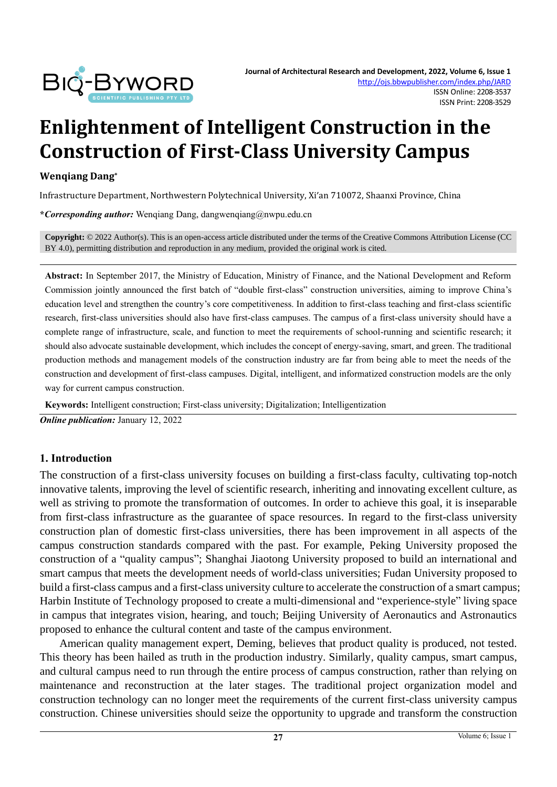

# **Enlightenment of Intelligent Construction in the Construction of First-Class University Campus**

#### **Wenqiang Dang\***

Infrastructure Department, Northwestern Polytechnical University, Xi'an 710072, Shaanxi Province, China

**\****Corresponding author:* Wenqiang Dang, dangwenqiang@nwpu.edu.cn

**Copyright:** © 2022 Author(s). This is an open-access article distributed under the terms of th[e Creative Commons Attribution License \(CC](https://creativecommons.org/licenses/by/4.0/)  [BY 4.0\),](https://creativecommons.org/licenses/by/4.0/) permitting distribution and reproduction in any medium, provided the original work is cited.

**Abstract:** In September 2017, the Ministry of Education, Ministry of Finance, and the National Development and Reform Commission jointly announced the first batch of "double first-class" construction universities, aiming to improve China's education level and strengthen the country's core competitiveness. In addition to first-class teaching and first-class scientific research, first-class universities should also have first-class campuses. The campus of a first-class university should have a complete range of infrastructure, scale, and function to meet the requirements of school-running and scientific research; it should also advocate sustainable development, which includes the concept of energy-saving, smart, and green. The traditional production methods and management models of the construction industry are far from being able to meet the needs of the construction and development of first-class campuses. Digital, intelligent, and informatized construction models are the only way for current campus construction.

**Keywords:** Intelligent construction; First-class university; Digitalization; Intelligentization

*Online publication:* January 12, 2022

#### **1. Introduction**

The construction of a first-class university focuses on building a first-class faculty, cultivating top-notch innovative talents, improving the level of scientific research, inheriting and innovating excellent culture, as well as striving to promote the transformation of outcomes. In order to achieve this goal, it is inseparable from first-class infrastructure as the guarantee of space resources. In regard to the first-class university construction plan of domestic first-class universities, there has been improvement in all aspects of the campus construction standards compared with the past. For example, Peking University proposed the construction of a "quality campus"; Shanghai Jiaotong University proposed to build an international and smart campus that meets the development needs of world-class universities; Fudan University proposed to build a first-class campus and a first-class university culture to accelerate the construction of a smart campus; Harbin Institute of Technology proposed to create a multi-dimensional and "experience-style" living space in campus that integrates vision, hearing, and touch; Beijing University of Aeronautics and Astronautics proposed to enhance the cultural content and taste of the campus environment.

American quality management expert, Deming, believes that product quality is produced, not tested. This theory has been hailed as truth in the production industry. Similarly, quality campus, smart campus, and cultural campus need to run through the entire process of campus construction, rather than relying on maintenance and reconstruction at the later stages. The traditional project organization model and construction technology can no longer meet the requirements of the current first-class university campus construction. Chinese universities should seize the opportunity to upgrade and transform the construction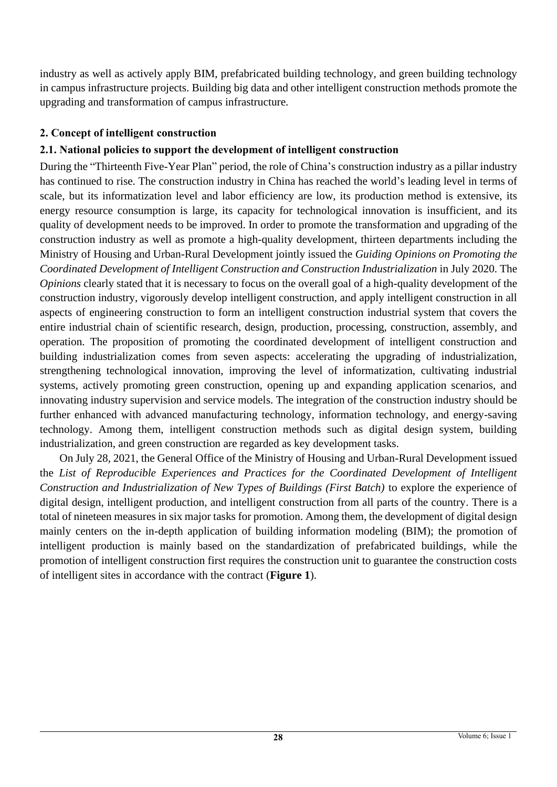industry as well as actively apply BIM, prefabricated building technology, and green building technology in campus infrastructure projects. Building big data and other intelligent construction methods promote the upgrading and transformation of campus infrastructure.

## **2. Concept of intelligent construction**

## **2.1. National policies to support the development of intelligent construction**

During the "Thirteenth Five-Year Plan" period, the role of China's construction industry as a pillar industry has continued to rise. The construction industry in China has reached the world's leading level in terms of scale, but its informatization level and labor efficiency are low, its production method is extensive, its energy resource consumption is large, its capacity for technological innovation is insufficient, and its quality of development needs to be improved. In order to promote the transformation and upgrading of the construction industry as well as promote a high-quality development, thirteen departments including the Ministry of Housing and Urban-Rural Development jointly issued the *Guiding Opinions on Promoting the Coordinated Development of Intelligent Construction and Construction Industrialization* in July 2020. The *Opinions* clearly stated that it is necessary to focus on the overall goal of a high-quality development of the construction industry, vigorously develop intelligent construction, and apply intelligent construction in all aspects of engineering construction to form an intelligent construction industrial system that covers the entire industrial chain of scientific research, design, production, processing, construction, assembly, and operation. The proposition of promoting the coordinated development of intelligent construction and building industrialization comes from seven aspects: accelerating the upgrading of industrialization, strengthening technological innovation, improving the level of informatization, cultivating industrial systems, actively promoting green construction, opening up and expanding application scenarios, and innovating industry supervision and service models. The integration of the construction industry should be further enhanced with advanced manufacturing technology, information technology, and energy-saving technology. Among them, intelligent construction methods such as digital design system, building industrialization, and green construction are regarded as key development tasks.

On July 28, 2021, the General Office of the Ministry of Housing and Urban-Rural Development issued the *List of Reproducible Experiences and Practices for the Coordinated Development of Intelligent Construction and Industrialization of New Types of Buildings (First Batch)* to explore the experience of digital design, intelligent production, and intelligent construction from all parts of the country. There is a total of nineteen measures in six major tasks for promotion. Among them, the development of digital design mainly centers on the in-depth application of building information modeling (BIM); the promotion of intelligent production is mainly based on the standardization of prefabricated buildings, while the promotion of intelligent construction first requires the construction unit to guarantee the construction costs of intelligent sites in accordance with the contract (**Figure 1**).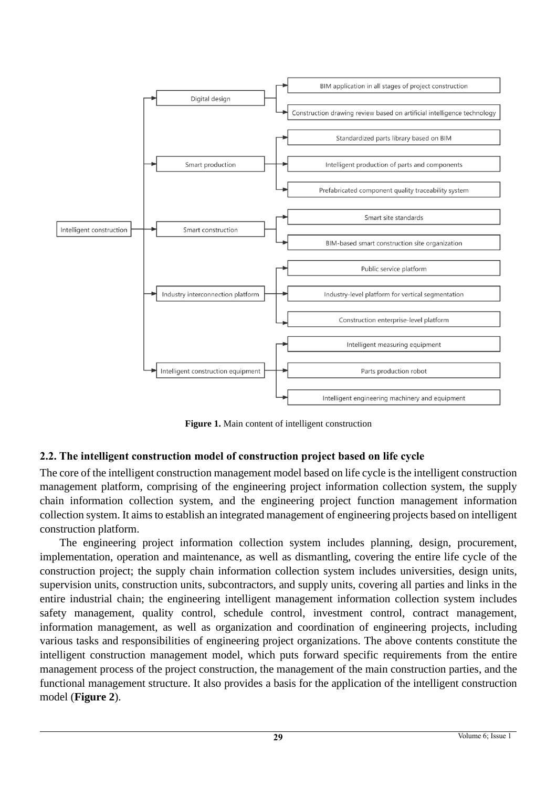

**Figure 1.** Main content of intelligent construction

## **2.2. The intelligent construction model of construction project based on life cycle**

The core of the intelligent construction management model based on life cycle is the intelligent construction management platform, comprising of the engineering project information collection system, the supply chain information collection system, and the engineering project function management information collection system. It aims to establish an integrated management of engineering projects based on intelligent construction platform.

The engineering project information collection system includes planning, design, procurement, implementation, operation and maintenance, as well as dismantling, covering the entire life cycle of the construction project; the supply chain information collection system includes universities, design units, supervision units, construction units, subcontractors, and supply units, covering all parties and links in the entire industrial chain; the engineering intelligent management information collection system includes safety management, quality control, schedule control, investment control, contract management, information management, as well as organization and coordination of engineering projects, including various tasks and responsibilities of engineering project organizations. The above contents constitute the intelligent construction management model, which puts forward specific requirements from the entire management process of the project construction, the management of the main construction parties, and the functional management structure. It also provides a basis for the application of the intelligent construction model (**Figure 2**).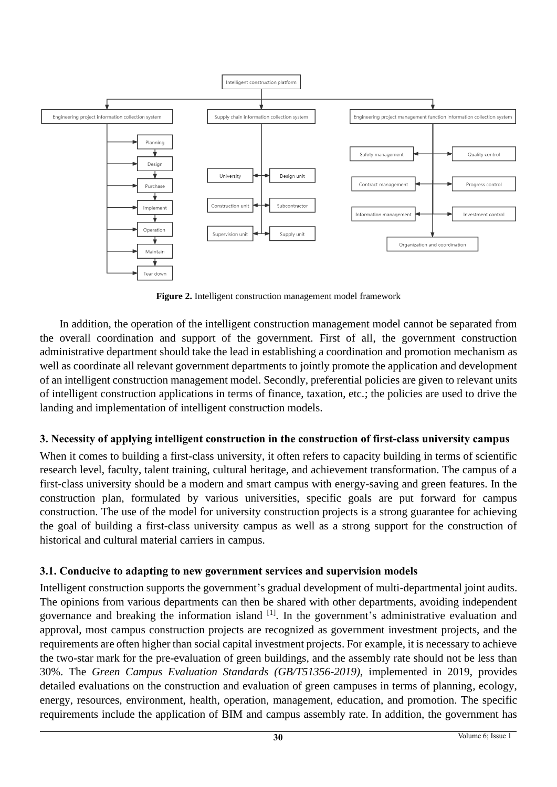

**Figure 2.** Intelligent construction management model framework

In addition, the operation of the intelligent construction management model cannot be separated from the overall coordination and support of the government. First of all, the government construction administrative department should take the lead in establishing a coordination and promotion mechanism as well as coordinate all relevant government departments to jointly promote the application and development of an intelligent construction management model. Secondly, preferential policies are given to relevant units of intelligent construction applications in terms of finance, taxation, etc.; the policies are used to drive the landing and implementation of intelligent construction models.

# **3. Necessity of applying intelligent construction in the construction of first-class university campus**

When it comes to building a first-class university, it often refers to capacity building in terms of scientific research level, faculty, talent training, cultural heritage, and achievement transformation. The campus of a first-class university should be a modern and smart campus with energy-saving and green features. In the construction plan, formulated by various universities, specific goals are put forward for campus construction. The use of the model for university construction projects is a strong guarantee for achieving the goal of building a first-class university campus as well as a strong support for the construction of historical and cultural material carriers in campus.

# **3.1. Conducive to adapting to new government services and supervision models**

Intelligent construction supports the government's gradual development of multi-departmental joint audits. The opinions from various departments can then be shared with other departments, avoiding independent governance and breaking the information island [1]. In the government's administrative evaluation and approval, most campus construction projects are recognized as government investment projects, and the requirements are often higher than social capital investment projects. For example, it is necessary to achieve the two-star mark for the pre-evaluation of green buildings, and the assembly rate should not be less than 30%. The *Green Campus Evaluation Standards (GB/T51356-2019)*, implemented in 2019, provides detailed evaluations on the construction and evaluation of green campuses in terms of planning, ecology, energy, resources, environment, health, operation, management, education, and promotion. The specific requirements include the application of BIM and campus assembly rate. In addition, the government has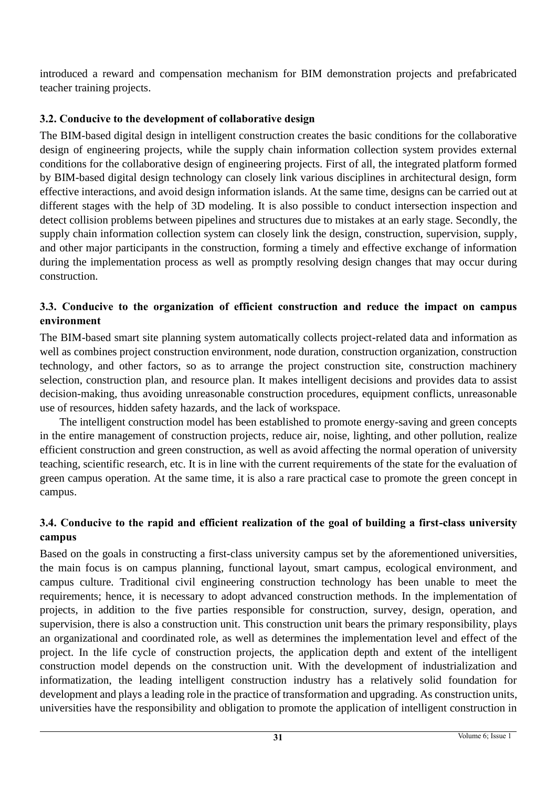introduced a reward and compensation mechanism for BIM demonstration projects and prefabricated teacher training projects.

## **3.2. Conducive to the development of collaborative design**

The BIM-based digital design in intelligent construction creates the basic conditions for the collaborative design of engineering projects, while the supply chain information collection system provides external conditions for the collaborative design of engineering projects. First of all, the integrated platform formed by BIM-based digital design technology can closely link various disciplines in architectural design, form effective interactions, and avoid design information islands. At the same time, designs can be carried out at different stages with the help of 3D modeling. It is also possible to conduct intersection inspection and detect collision problems between pipelines and structures due to mistakes at an early stage. Secondly, the supply chain information collection system can closely link the design, construction, supervision, supply, and other major participants in the construction, forming a timely and effective exchange of information during the implementation process as well as promptly resolving design changes that may occur during construction.

#### **3.3. Conducive to the organization of efficient construction and reduce the impact on campus environment**

The BIM-based smart site planning system automatically collects project-related data and information as well as combines project construction environment, node duration, construction organization, construction technology, and other factors, so as to arrange the project construction site, construction machinery selection, construction plan, and resource plan. It makes intelligent decisions and provides data to assist decision-making, thus avoiding unreasonable construction procedures, equipment conflicts, unreasonable use of resources, hidden safety hazards, and the lack of workspace.

The intelligent construction model has been established to promote energy-saving and green concepts in the entire management of construction projects, reduce air, noise, lighting, and other pollution, realize efficient construction and green construction, as well as avoid affecting the normal operation of university teaching, scientific research, etc. It is in line with the current requirements of the state for the evaluation of green campus operation. At the same time, it is also a rare practical case to promote the green concept in campus.

#### **3.4. Conducive to the rapid and efficient realization of the goal of building a first-class university campus**

Based on the goals in constructing a first-class university campus set by the aforementioned universities, the main focus is on campus planning, functional layout, smart campus, ecological environment, and campus culture. Traditional civil engineering construction technology has been unable to meet the requirements; hence, it is necessary to adopt advanced construction methods. In the implementation of projects, in addition to the five parties responsible for construction, survey, design, operation, and supervision, there is also a construction unit. This construction unit bears the primary responsibility, plays an organizational and coordinated role, as well as determines the implementation level and effect of the project. In the life cycle of construction projects, the application depth and extent of the intelligent construction model depends on the construction unit. With the development of industrialization and informatization, the leading intelligent construction industry has a relatively solid foundation for development and plays a leading role in the practice of transformation and upgrading. As construction units, universities have the responsibility and obligation to promote the application of intelligent construction in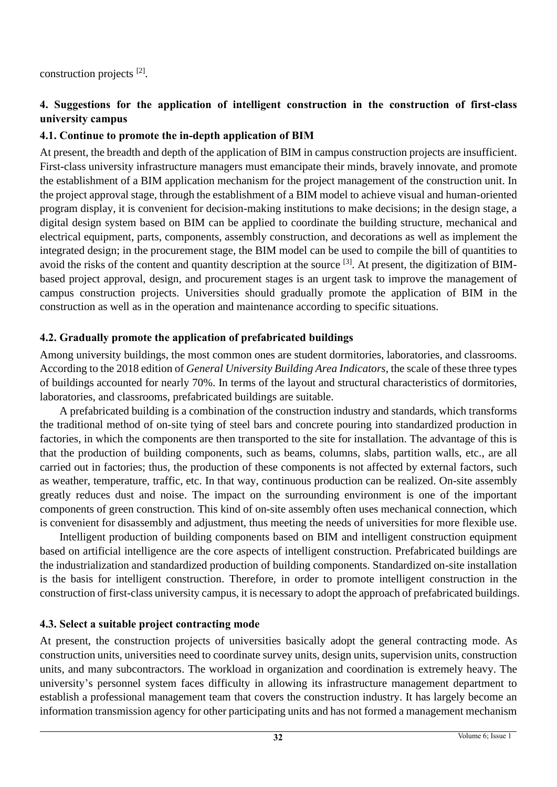construction projects<sup>[2]</sup>.

#### **4. Suggestions for the application of intelligent construction in the construction of first-class university campus**

#### **4.1. Continue to promote the in-depth application of BIM**

At present, the breadth and depth of the application of BIM in campus construction projects are insufficient. First-class university infrastructure managers must emancipate their minds, bravely innovate, and promote the establishment of a BIM application mechanism for the project management of the construction unit. In the project approval stage, through the establishment of a BIM model to achieve visual and human-oriented program display, it is convenient for decision-making institutions to make decisions; in the design stage, a digital design system based on BIM can be applied to coordinate the building structure, mechanical and electrical equipment, parts, components, assembly construction, and decorations as well as implement the integrated design; in the procurement stage, the BIM model can be used to compile the bill of quantities to avoid the risks of the content and quantity description at the source <sup>[3]</sup>. At present, the digitization of BIMbased project approval, design, and procurement stages is an urgent task to improve the management of campus construction projects. Universities should gradually promote the application of BIM in the construction as well as in the operation and maintenance according to specific situations.

#### **4.2. Gradually promote the application of prefabricated buildings**

Among university buildings, the most common ones are student dormitories, laboratories, and classrooms. According to the 2018 edition of *General University Building Area Indicators*, the scale of these three types of buildings accounted for nearly 70%. In terms of the layout and structural characteristics of dormitories, laboratories, and classrooms, prefabricated buildings are suitable.

A prefabricated building is a combination of the construction industry and standards, which transforms the traditional method of on-site tying of steel bars and concrete pouring into standardized production in factories, in which the components are then transported to the site for installation. The advantage of this is that the production of building components, such as beams, columns, slabs, partition walls, etc., are all carried out in factories; thus, the production of these components is not affected by external factors, such as weather, temperature, traffic, etc. In that way, continuous production can be realized. On-site assembly greatly reduces dust and noise. The impact on the surrounding environment is one of the important components of green construction. This kind of on-site assembly often uses mechanical connection, which is convenient for disassembly and adjustment, thus meeting the needs of universities for more flexible use.

Intelligent production of building components based on BIM and intelligent construction equipment based on artificial intelligence are the core aspects of intelligent construction. Prefabricated buildings are the industrialization and standardized production of building components. Standardized on-site installation is the basis for intelligent construction. Therefore, in order to promote intelligent construction in the construction of first-class university campus, it is necessary to adopt the approach of prefabricated buildings.

#### **4.3. Select a suitable project contracting mode**

At present, the construction projects of universities basically adopt the general contracting mode. As construction units, universities need to coordinate survey units, design units, supervision units, construction units, and many subcontractors. The workload in organization and coordination is extremely heavy. The university's personnel system faces difficulty in allowing its infrastructure management department to establish a professional management team that covers the construction industry. It has largely become an information transmission agency for other participating units and has not formed a management mechanism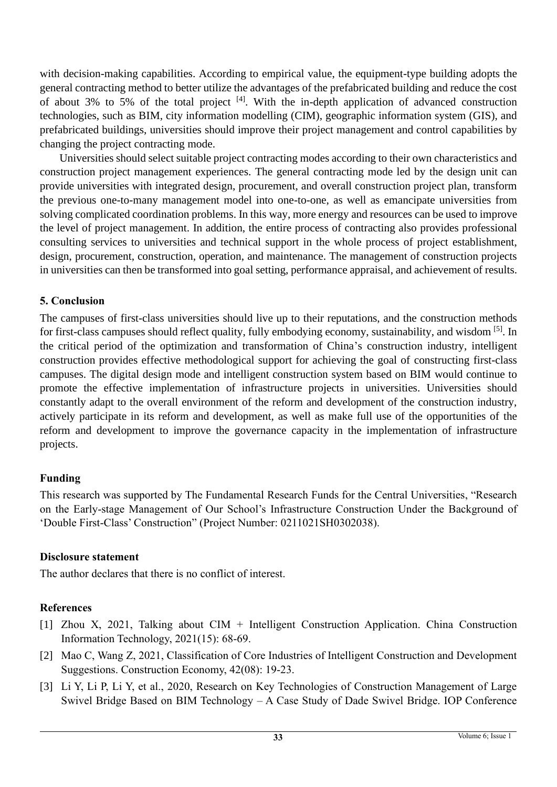with decision-making capabilities. According to empirical value, the equipment-type building adopts the general contracting method to better utilize the advantages of the prefabricated building and reduce the cost of about 3% to 5% of the total project  $[4]$ . With the in-depth application of advanced construction technologies, such as BIM, city information modelling (CIM), geographic information system (GIS), and prefabricated buildings, universities should improve their project management and control capabilities by changing the project contracting mode.

Universities should select suitable project contracting modes according to their own characteristics and construction project management experiences. The general contracting mode led by the design unit can provide universities with integrated design, procurement, and overall construction project plan, transform the previous one-to-many management model into one-to-one, as well as emancipate universities from solving complicated coordination problems. In this way, more energy and resources can be used to improve the level of project management. In addition, the entire process of contracting also provides professional consulting services to universities and technical support in the whole process of project establishment, design, procurement, construction, operation, and maintenance. The management of construction projects in universities can then be transformed into goal setting, performance appraisal, and achievement of results.

#### **5. Conclusion**

The campuses of first-class universities should live up to their reputations, and the construction methods for first-class campuses should reflect quality, fully embodying economy, sustainability, and wisdom [5]. In the critical period of the optimization and transformation of China's construction industry, intelligent construction provides effective methodological support for achieving the goal of constructing first-class campuses. The digital design mode and intelligent construction system based on BIM would continue to promote the effective implementation of infrastructure projects in universities. Universities should constantly adapt to the overall environment of the reform and development of the construction industry, actively participate in its reform and development, as well as make full use of the opportunities of the reform and development to improve the governance capacity in the implementation of infrastructure projects.

## **Funding**

This research was supported by The Fundamental Research Funds for the Central Universities, "Research on the Early-stage Management of Our School's Infrastructure Construction Under the Background of 'Double First-Class' Construction" (Project Number: 0211021SH0302038).

#### **Disclosure statement**

The author declares that there is no conflict of interest.

## **References**

- [1] Zhou X, 2021, Talking about CIM + Intelligent Construction Application. China Construction Information Technology, 2021(15): 68-69.
- [2] Mao C, Wang Z, 2021, Classification of Core Industries of Intelligent Construction and Development Suggestions. Construction Economy, 42(08): 19-23.
- [3] Li Y, Li P, Li Y, et al., 2020, Research on Key Technologies of Construction Management of Large Swivel Bridge Based on BIM Technology – A Case Study of Dade Swivel Bridge. IOP Conference